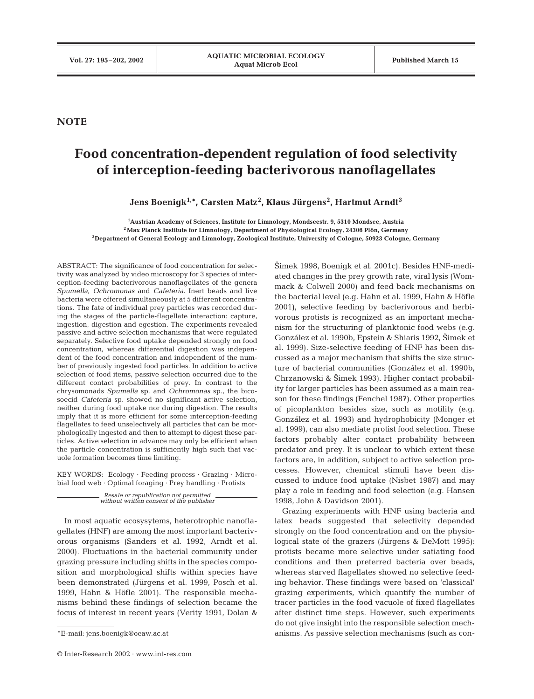**NOTE**

## **Food concentration-dependent regulation of food selectivity of interception-feeding bacterivorous nanoflagellates**

**Jens Boenigk1,\*, Carsten Matz2 , Klaus Jürgens<sup>2</sup> , Hartmut Arndt<sup>3</sup>**

**1 Austrian Academy of Sciences, Institute for Limnology, Mondseestr. 9, 5310 Mondsee, Austria 2Max Planck Institute for Limnology, Department of Physiological Ecology, 24306 Plön, Germany 3Department of General Ecology and Limnology, Zoological Institute, University of Cologne, 50923 Cologne, Germany**

ABSTRACT: The significance of food concentration for selectivity was analyzed by video microscopy for 3 species of interception-feeding bacterivorous nanoflagellates of the genera *Spumella*, *Ochromonas* and *Cafeteria*. Inert beads and live bacteria were offered simultaneously at 5 different concentrations. The fate of individual prey particles was recorded during the stages of the particle-flagellate interaction: capture, ingestion, digestion and egestion. The experiments revealed passive and active selection mechanisms that were regulated separately. Selective food uptake depended strongly on food concentration, whereas differential digestion was independent of the food concentration and independent of the number of previously ingested food particles. In addition to active selection of food items, passive selection occurred due to the different contact probabilities of prey. In contrast to the chrysomonads *Spumella* sp. and *Ochromonas* sp., the bicosoecid *Cafeteria* sp. showed no significant active selection, neither during food uptake nor during digestion. The results imply that it is more efficient for some interception-feeding flagellates to feed unselectively all particles that can be morphologically ingested and then to attempt to digest these particles. Active selection in advance may only be efficient when the particle concentration is sufficiently high such that vacuole formation becomes time limiting.

KEY WORDS: Ecology · Feeding process · Grazing · Microbial food web · Optimal foraging · Prey handling · Protists

*Resale or republication not permitted without written consent of the publisher*

In most aquatic ecosysytems, heterotrophic nanoflagellates (HNF) are among the most important bacterivorous organisms (Sanders et al. 1992, Arndt et al. 2000). Fluctuations in the bacterial community under grazing pressure including shifts in the species composition and morphological shifts within species have been demonstrated (Jürgens et al. 1999, Posch et al. 1999, Hahn & Höfle 2001). The responsible mechanisms behind these findings of selection became the focus of interest in recent years (Verity 1991, Dolan &

2imek 1998, Boenigk et al. 2001c). Besides HNF-mediated changes in the prey growth rate, viral lysis (Wommack & Colwell 2000) and feed back mechanisms on the bacterial level (e.g. Hahn et al. 1999, Hahn & Höfle 2001), selective feeding by bacterivorous and herbivorous protists is recognized as an important mechanism for the structuring of planktonic food webs (e.g. González et al. 1990b, Epstein & Shiaris 1992, Šimek et al. 1999). Size-selective feeding of HNF has been discussed as a major mechanism that shifts the size structure of bacterial communities (González et al. 1990b, Chrzanowski & Šimek 1993). Higher contact probability for larger particles has been assumed as a main reason for these findings (Fenchel 1987). Other properties of picoplankton besides size, such as motility (e.g. González et al. 1993) and hydrophobicity (Monger et al. 1999), can also mediate protist food selection. These factors probably alter contact probability between predator and prey. It is unclear to which extent these factors are, in addition, subject to active selection processes. However, chemical stimuli have been discussed to induce food uptake (Nisbet 1987) and may play a role in feeding and food selection (e.g. Hansen 1998, John & Davidson 2001).

Grazing experiments with HNF using bacteria and latex beads suggested that selectivity depended strongly on the food concentration and on the physiological state of the grazers (Jürgens & DeMott 1995): protists became more selective under satiating food conditions and then preferred bacteria over beads, whereas starved flagellates showed no selective feeding behavior. These findings were based on 'classical' grazing experiments, which quantify the number of tracer particles in the food vacuole of fixed flagellates after distinct time steps. However, such experiments do not give insight into the responsible selection mechanisms. As passive selection mechanisms (such as con-

<sup>\*</sup>E-mail: jens.boenigk@oeaw.ac.at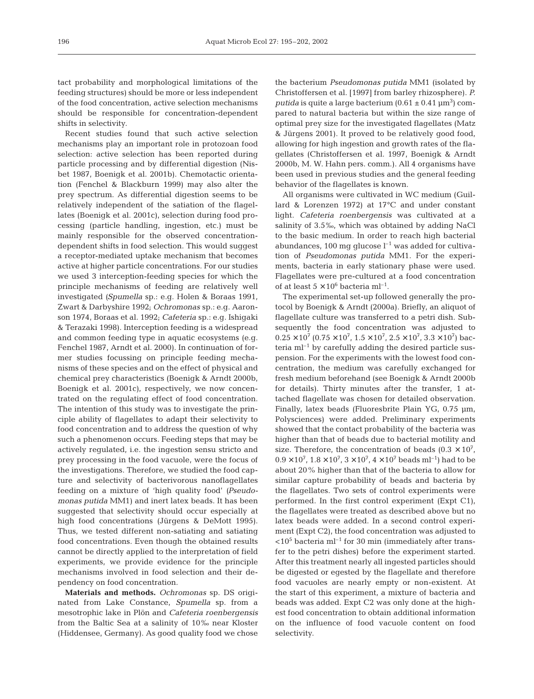tact probability and morphological limitations of the feeding structures) should be more or less independent of the food concentration, active selection mechanisms should be responsible for concentration-dependent shifts in selectivity.

Recent studies found that such active selection mechanisms play an important role in protozoan food selection: active selection has been reported during particle processing and by differential digestion (Nisbet 1987, Boenigk et al. 2001b). Chemotactic orientation (Fenchel & Blackburn 1999) may also alter the prey spectrum. As differential digestion seems to be relatively independent of the satiation of the flagellates (Boenigk et al. 2001c), selection during food processing (particle handling, ingestion, etc.) must be mainly responsible for the observed concentrationdependent shifts in food selection. This would suggest a receptor-mediated uptake mechanism that becomes active at higher particle concentrations. For our studies we used 3 interception-feeding species for which the principle mechanisms of feeding are relatively well investigated *(Spumella* sp.: e.g. Holen & Boraas 1991, Zwart & Darbyshire 1992; *Ochromonas* sp.: e.g. Aaronson 1974, Boraas et al. 1992; *Cafeteria* sp.: e.g. Ishigaki & Terazaki 1998). Interception feeding is a widespread and common feeding type in aquatic ecosystems (e.g. Fenchel 1987, Arndt et al. 2000). In continuation of former studies focussing on principle feeding mechanisms of these species and on the effect of physical and chemical prey characteristics (Boenigk & Arndt 2000b, Boenigk et al. 2001c), respectively, we now concentrated on the regulating effect of food concentration. The intention of this study was to investigate the principle ability of flagellates to adapt their selectivity to food concentration and to address the question of why such a phenomenon occurs. Feeding steps that may be actively regulated, i.e. the ingestion sensu stricto and prey processing in the food vacuole, were the focus of the investigations. Therefore, we studied the food capture and selectivity of bacterivorous nanoflagellates feeding on a mixture of 'high quality food' *(Pseudomonas putida* MM1) and inert latex beads. It has been suggested that selectivity should occur especially at high food concentrations (Jürgens & DeMott 1995). Thus, we tested different non-satiating and satiating food concentrations. Even though the obtained results cannot be directly applied to the interpretation of field experiments, we provide evidence for the principle mechanisms involved in food selection and their dependency on food concentration.

**Materials and methods.** *Ochromonas* sp. DS originated from Lake Constance, *Spumella* sp. from a mesotrophic lake in Plön and *Cafeteria roenbergensis* from the Baltic Sea at a salinity of 10‰ near Kloster (Hiddensee, Germany). As good quality food we chose

the bacterium *Pseudomonas putida* MM1 (isolated by Christoffersen et al. [1997] from barley rhizosphere). *P.*  $putida$  is quite a large bacterium  $(0.61 \pm 0.41 \,\mathrm{\upmu m^3})$  compared to natural bacteria but within the size range of optimal prey size for the investigated flagellates (Matz & Jürgens 2001). It proved to be relatively good food, allowing for high ingestion and growth rates of the flagellates (Christoffersen et al. 1997, Boenigk & Arndt 2000b, M. W. Hahn pers. comm.). All 4 organisms have been used in previous studies and the general feeding behavior of the flagellates is known.

All organisms were cultivated in WC medium (Guillard & Lorenzen 1972) at 17°C and under constant light. *Cafeteria roenbergensis* was cultivated at a salinity of 3.5‰, which was obtained by adding NaCl to the basic medium. In order to reach high bacterial abundances, 100 mg glucose  $l^{-1}$  was added for cultivation of *Pseudomonas putida* MM1. For the experiments, bacteria in early stationary phase were used. Flagellates were pre-cultured at a food concentration of at least  $5 \times 10^6$  bacteria ml<sup>-1</sup>.

The experimental set-up followed generally the protocol by Boenigk & Arndt (2000a). Briefly, an aliquot of flagellate culture was transferred to a petri dish. Subsequently the food concentration was adjusted to  $0.25 \times 10^7$  (0.75  $\times$   $10^7$ ,  $1.5 \times 10^7$ ,  $2.5 \times 10^7$ ,  $3.3 \times 10^7$ ) bacteria  $ml<sup>-1</sup>$  by carefully adding the desired particle suspension. For the experiments with the lowest food concentration, the medium was carefully exchanged for fresh medium beforehand (see Boenigk & Arndt 2000b for details). Thirty minutes after the transfer, 1 attached flagellate was chosen for detailed observation. Finally, latex beads (Fluoresbrite Plain YG, 0.75 µm, Polysciences) were added. Preliminary experiments showed that the contact probability of the bacteria was higher than that of beads due to bacterial motility and size. Therefore, the concentration of beads  $(0.3 \times 10^7)$ ,  $0.9 \times 10^7$ ,  $1.8 \times 10^7$ ,  $3 \times 10^7$ ,  $4 \times 10^7$  beads ml<sup>-1</sup>) had to be about 20% higher than that of the bacteria to allow for similar capture probability of beads and bacteria by the flagellates. Two sets of control experiments were performed. In the first control experiment (Expt C1), the flagellates were treated as described above but no latex beads were added. In a second control experiment (Expt C2), the food concentration was adjusted to  $<$ 10<sup>5</sup> bacteria ml<sup>-1</sup> for 30 min (immediately after transfer to the petri dishes) before the experiment started. After this treatment nearly all ingested particles should be digested or egested by the flagellate and therefore food vacuoles are nearly empty or non-existent. At the start of this experiment, a mixture of bacteria and beads was added. Expt C2 was only done at the highest food concentration to obtain additional information on the influence of food vacuole content on food selectivity.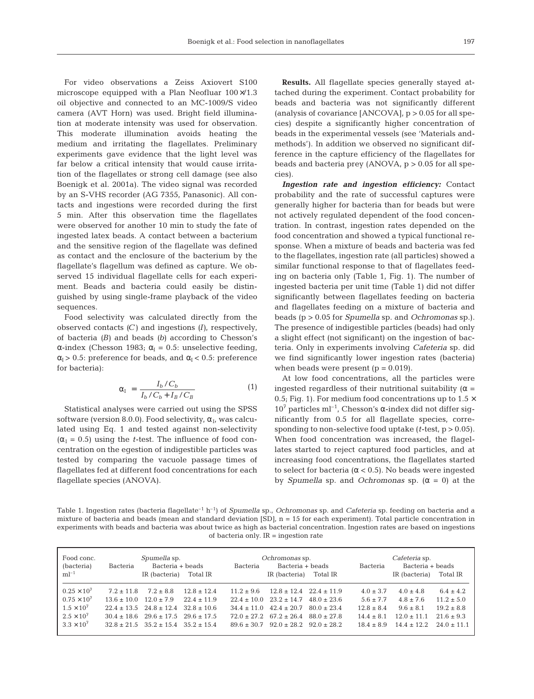For video observations a Zeiss Axiovert S100 microscope equipped with a Plan Neofluar 100×/1.3 oil objective and connected to an MC-1009/S video camera (AVT Horn) was used. Bright field illumination at moderate intensity was used for observation. This moderate illumination avoids heating the medium and irritating the flagellates. Preliminary experiments gave evidence that the light level was far below a critical intensity that would cause irritation of the flagellates or strong cell damage (see also Boenigk et al. 2001a). The video signal was recorded by an S-VHS recorder (AG 7355, Panasonic). All contacts and ingestions were recorded during the first 5 min. After this observation time the flagellates were observed for another 10 min to study the fate of ingested latex beads. A contact between a bacterium and the sensitive region of the flagellate was defined as contact and the enclosure of the bacterium by the flagellate's flagellum was defined as capture. We observed 15 individual flagellate cells for each experiment. Beads and bacteria could easily be distinguished by using single-frame playback of the video sequences.

Food selectivity was calculated directly from the observed contacts *(C)* and ingestions *(I)*, respectively, of bacteria *(B)* and beads *(b)* according to Chesson's α-index (Chesson 1983;  $α<sub>I</sub> = 0.5$ : unselective feeding,  $\alpha_{\rm I}$  > 0.5: preference for beads, and  $\alpha_{\rm I}$  < 0.5: preference for bacteria):

$$
\alpha_{\rm I} = \frac{I_b / C_b}{I_b / C_b + I_B / C_B} \tag{1}
$$

Statistical analyses were carried out using the SPSS software (version 8.0.0). Food selectivity,  $\alpha_{\rm L}$  was calculated using Eq. 1 and tested against non-selectivity  $(\alpha_1 = 0.5)$  using the *t*-test. The influence of food concentration on the egestion of indigestible particles was tested by comparing the vacuole passage times of flagellates fed at different food concentrations for each flagellate species (ANOVA).

**Results.** All flagellate species generally stayed attached during the experiment. Contact probability for beads and bacteria was not significantly different (analysis of covariance  $[ANCOVA]$ ,  $p > 0.05$  for all species) despite a significantly higher concentration of beads in the experimental vessels (see 'Materials andmethods'). In addition we observed no significant difference in the capture efficiency of the flagellates for beads and bacteria prey  $(ANOVA, p > 0.05$  for all species).

*Ingestion rate and ingestion efficiency:* Contact probability and the rate of successful captures were generally higher for bacteria than for beads but were not actively regulated dependent of the food concentration. In contrast, ingestion rates depended on the food concentration and showed a typical functional response. When a mixture of beads and bacteria was fed to the flagellates, ingestion rate (all particles) showed a similar functional response to that of flagellates feeding on bacteria only (Table 1, Fig. 1). The number of ingested bacteria per unit time (Table 1) did not differ significantly between flagellates feeding on bacteria and flagellates feeding on a mixture of bacteria and beads (p > 0.05 for *Spumella* sp. and *Ochromonas* sp.). The presence of indigestible particles (beads) had only a slight effect (not significant) on the ingestion of bacteria. Only in experiments involving *Cafeteria* sp. did we find significantly lower ingestion rates (bacteria) when beads were present  $(p = 0.019)$ .

At low food concentrations, all the particles were ingested regardless of their nutritional suitability ( $\alpha$  = 0.5; Fig. 1). For medium food concentrations up to  $1.5 \times$  $10<sup>7</sup>$  particles ml<sup>-1</sup>, Chesson's α-index did not differ significantly from 0.5 for all flagellate species, corresponding to non-selective food uptake (*t*-test, p > 0.05). When food concentration was increased, the flagellates started to reject captured food particles, and at increasing food concentrations, the flagellates started to select for bacteria (α < 0.5). No beads were ingested by *Spumella* sp. and *Ochromonas* sp.  $(\alpha = 0)$  at the

Table 1. Ingestion rates (bacteria flagellate–1 h–1) of *Spumella* sp., *Ochromonas* sp. and *Cafeteria* sp. feeding on bacteria and a mixture of bacteria and beads (mean and standard deviation  $[SD]$ ,  $n = 15$  for each experiment). Total particle concentration in experiments with beads and bacteria was about twice as high as bacterial concentration. Ingestion rates are based on ingestions of bacteria only. IR = ingestion rate

| Food conc.<br>(bacteria)                                                                                          | <i>Spumella</i> sp.<br>Bacteria + beads<br>Bacteria |                                                                                                                                                                      |                                                     | <i>Ochromonas</i> sp.<br>Bacteria + beads<br>Bacteria |                                                                                                                                      |                                                                       | Cafeteria sp.<br>Bacteria + beads<br>Bacteria                                    |                                                                                     |                                                                                      |
|-------------------------------------------------------------------------------------------------------------------|-----------------------------------------------------|----------------------------------------------------------------------------------------------------------------------------------------------------------------------|-----------------------------------------------------|-------------------------------------------------------|--------------------------------------------------------------------------------------------------------------------------------------|-----------------------------------------------------------------------|----------------------------------------------------------------------------------|-------------------------------------------------------------------------------------|--------------------------------------------------------------------------------------|
| $ml^{-1}$                                                                                                         |                                                     | IR (bacteria)                                                                                                                                                        | Total IR                                            |                                                       | IR (bacteria)                                                                                                                        | Total IR                                                              |                                                                                  | IR (bacteria)                                                                       | Total IR                                                                             |
| $0.25 \times 10^{7}$<br>$0.75 \times 10^{7}$<br>$1.5 \times 10^{7}$<br>$2.5 \times 10^{7}$<br>$3.3 \times 10^{7}$ | $7.2 \pm 11.8$<br>$13.6 + 10.0$                     | $7.2 \pm 8.8$<br>$12.0 \pm 7.9$<br>$22.4 + 13.5$ $24.8 + 12.4$<br>$30.4 \pm 18.6$ $29.6 \pm 17.5$ $29.6 \pm 17.5$<br>$32.8 \pm 21.5$ $35.2 \pm 15.4$ $35.2 \pm 15.4$ | $12.8 \pm 12.4$<br>$22.4 \pm 11.9$<br>$32.8 + 10.6$ | $11.2 + 9.6$<br>$34.4 + 11.0$<br>$89.6 + 30.7$        | $22.4 \pm 10.0$ $23.2 \pm 14.7$<br>$42.4 \pm 20.7$<br>$72.0 \pm 27.2$ $67.2 \pm 26.4$ $88.0 \pm 27.8$<br>$92.0 + 28.2$ $92.0 + 28.2$ | $12.8 \pm 12.4$ $22.4 \pm 11.9$<br>$48.0 \pm 23.6$<br>$80.0 \pm 23.4$ | $4.0 \pm 3.7$<br>$5.6 \pm 7.7$<br>$12.8 \pm 8.4$<br>$14.4 + 8.1$<br>$18.4 + 8.9$ | $4.0 \pm 4.8$<br>$4.8 \pm 7.6$<br>$9.6 \pm 8.1$<br>$12.0 \pm 11.1$<br>$14.4 + 12.2$ | $6.4 \pm 4.2$<br>$11.2 \pm 5.0$<br>$19.2 \pm 8.8$<br>$21.6 \pm 9.3$<br>$24.0 + 11.1$ |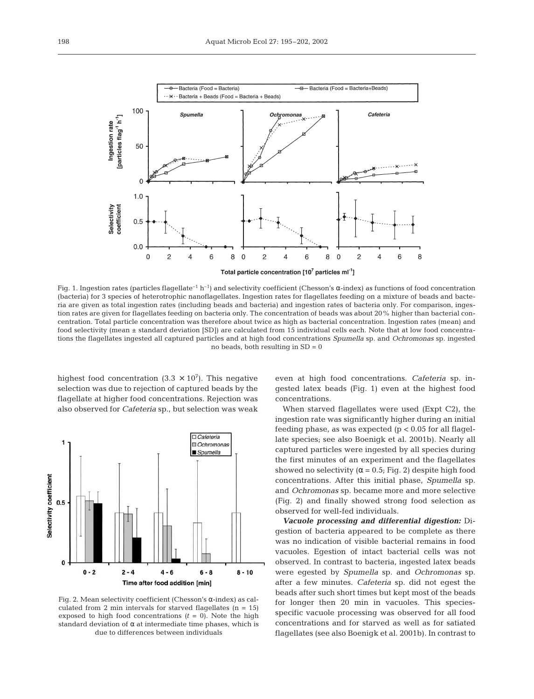

Fig. 1. Ingestion rates (particles flagellate<sup>-1</sup> h<sup>-1</sup>) and selectivity coefficient (Chesson's  $\alpha$ -index) as functions of food concentration (bacteria) for 3 species of heterotrophic nanoflagellates. Ingestion rates for flagellates feeding on a mixture of beads and bacteria are given as total ingestion rates (including beads and bacteria) and ingestion rates of bacteria only. For comparison, ingestion rates are given for flagellates feeding on bacteria only. The concentration of beads was about 20% higher than bacterial concentration. Total particle concentration was therefore about twice as high as bacterial concentration. Ingestion rates (mean) and food selectivity (mean ± standard deviation [SD]) are calculated from 15 individual cells each. Note that at low food concentrations the flagellates ingested all captured particles and at high food concentrations *Spumella* sp. and *Ochromonas* sp. ingested no beads, both resulting in  $SD = 0$ 

highest food concentration  $(3.3 \times 10^7)$ . This negative selection was due to rejection of captured beads by the flagellate at higher food concentrations. Rejection was also observed for *Cafeteria* sp., but selection was weak



Fig. 2. Mean selectivity coefficient (Chesson's α-index) as calculated from 2 min intervals for starved flagellates  $(n = 15)$ exposed to high food concentrations  $(t = 0)$ . Note the high standard deviation of  $\alpha$  at intermediate time phases, which is due to differences between individuals

even at high food concentrations. *Cafeteria* sp. ingested latex beads (Fig. 1) even at the highest food concentrations.

When starved flagellates were used (Expt C2), the ingestion rate was significantly higher during an initial feeding phase, as was expected  $(p < 0.05$  for all flagellate species; see also Boenigk et al. 2001b). Nearly all captured particles were ingested by all species during the first minutes of an experiment and the flagellates showed no selectivity ( $\alpha$  = 0.5; Fig. 2) despite high food concentrations. After this initial phase, *Spumella* sp. and *Ochromonas* sp. became more and more selective (Fig. 2) and finally showed strong food selection as observed for well-fed individuals.

*Vacuole processing and differential digestion:* Digestion of bacteria appeared to be complete as there was no indication of visible bacterial remains in food vacuoles. Egestion of intact bacterial cells was not observed. In contrast to bacteria, ingested latex beads were egested by *Spumella* sp. and *Ochromonas* sp. after a few minutes. *Cafeteria* sp. did not egest the beads after such short times but kept most of the beads for longer then 20 min in vacuoles. This speciesspecific vacuole processing was observed for all food concentrations and for starved as well as for satiated flagellates (see also Boenigk et al. 2001b). In contrast to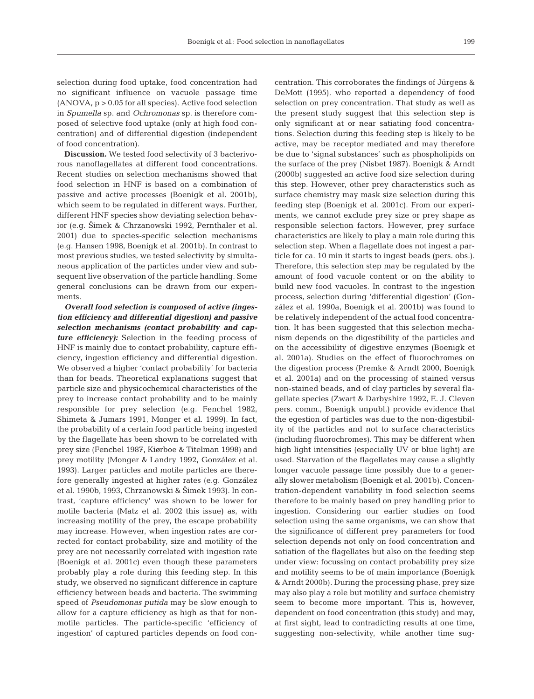selection during food uptake, food concentration had no significant influence on vacuole passage time  $(ANOVA, p > 0.05$  for all species). Active food selection in *Spumella* sp. and *Ochromonas* sp. is therefore composed of selective food uptake (only at high food concentration) and of differential digestion (independent of food concentration).

**Discussion.** We tested food selectivity of 3 bacterivorous nanoflagellates at different food concentrations. Recent studies on selection mechanisms showed that food selection in HNF is based on a combination of passive and active processes (Boenigk et al. 2001b), which seem to be regulated in different ways. Further, different HNF species show deviating selection behavior (e.g. 2imek & Chrzanowski 1992, Pernthaler et al. 2001) due to species-specific selection mechanisms (e.g. Hansen 1998, Boenigk et al. 2001b). In contrast to most previous studies, we tested selectivity by simultaneous application of the particles under view and subsequent live observation of the particle handling. Some general conclusions can be drawn from our experiments.

*Overall food selection is composed of active (ingestion efficiency and differential digestion) and passive selection mechanisms (contact probability and capture efficiency):* Selection in the feeding process of HNF is mainly due to contact probability, capture efficiency, ingestion efficiency and differential digestion. We observed a higher 'contact probability' for bacteria than for beads. Theoretical explanations suggest that particle size and physicochemical characteristics of the prey to increase contact probability and to be mainly responsible for prey selection (e.g. Fenchel 1982, Shimeta & Jumars 1991, Monger et al. 1999). In fact, the probability of a certain food particle being ingested by the flagellate has been shown to be correlated with prey size (Fenchel 1987, Kiørboe & Titelman 1998) and prey motility (Monger & Landry 1992, González et al. 1993). Larger particles and motile particles are therefore generally ingested at higher rates (e.g. González et al. 1990b, 1993, Chrzanowski & 2imek 1993). In contrast, 'capture efficiency' was shown to be lower for motile bacteria (Matz et al. 2002 this issue) as, with increasing motility of the prey, the escape probability may increase. However, when ingestion rates are corrected for contact probability, size and motility of the prey are not necessarily correlated with ingestion rate (Boenigk et al. 2001c) even though these parameters probably play a role during this feeding step. In this study, we observed no significant difference in capture efficiency between beads and bacteria. The swimming speed of *Pseudomonas putida* may be slow enough to allow for a capture efficiency as high as that for nonmotile particles. The particle-specific 'efficiency of ingestion' of captured particles depends on food con-

centration. This corroborates the findings of Jürgens & DeMott (1995), who reported a dependency of food selection on prey concentration. That study as well as the present study suggest that this selection step is only significant at or near satiating food concentrations. Selection during this feeding step is likely to be active, may be receptor mediated and may therefore be due to 'signal substances' such as phospholipids on the surface of the prey (Nisbet 1987). Boenigk & Arndt (2000b) suggested an active food size selection during this step. However, other prey characteristics such as surface chemistry may mask size selection during this feeding step (Boenigk et al. 2001c). From our experiments, we cannot exclude prey size or prey shape as responsible selection factors. However, prey surface characteristics are likely to play a main role during this selection step. When a flagellate does not ingest a particle for ca. 10 min it starts to ingest beads (pers. obs.). Therefore, this selection step may be regulated by the amount of food vacuole content or on the ability to build new food vacuoles. In contrast to the ingestion process, selection during 'differential digestion' (González et al. 1990a, Boenigk et al. 2001b) was found to be relatively independent of the actual food concentration. It has been suggested that this selection mechanism depends on the digestibility of the particles and on the accessibility of digestive enzymes (Boenigk et al. 2001a). Studies on the effect of fluorochromes on the digestion process (Premke & Arndt 2000, Boenigk et al. 2001a) and on the processing of stained versus non-stained beads, and of clay particles by several flagellate species (Zwart & Darbyshire 1992, E. J. Cleven pers. comm., Boenigk unpubl.) provide evidence that the egestion of particles was due to the non-digestibility of the particles and not to surface characteristics (including fluorochromes). This may be different when high light intensities (especially UV or blue light) are used. Starvation of the flagellates may cause a slightly longer vacuole passage time possibly due to a generally slower metabolism (Boenigk et al. 2001b). Concentration-dependent variability in food selection seems therefore to be mainly based on prey handling prior to ingestion. Considering our earlier studies on food selection using the same organisms, we can show that the significance of different prey parameters for food selection depends not only on food concentration and satiation of the flagellates but also on the feeding step under view: focussing on contact probability prey size and motility seems to be of main importance (Boenigk & Arndt 2000b). During the processing phase, prey size may also play a role but motility and surface chemistry seem to become more important. This is, however, dependent on food concentration (this study) and may, at first sight, lead to contradicting results at one time, suggesting non-selectivity, while another time sug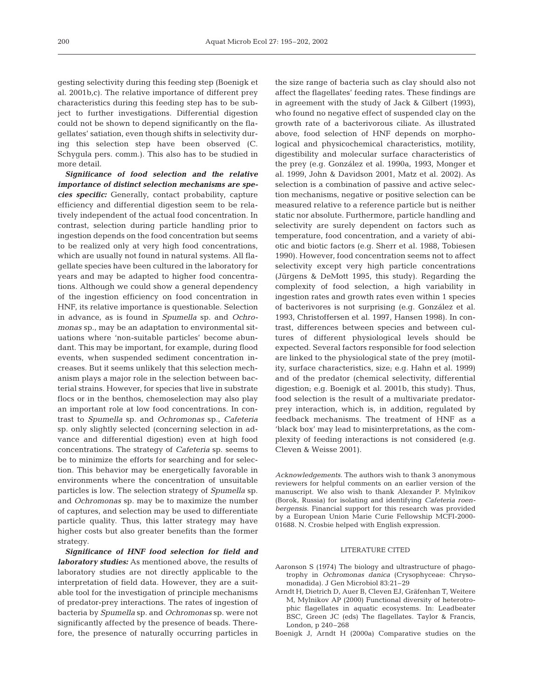gesting selectivity during this feeding step (Boenigk et al. 2001b,c). The relative importance of different prey characteristics during this feeding step has to be subject to further investigations. Differential digestion could not be shown to depend significantly on the flagellates' satiation, even though shifts in selectivity during this selection step have been observed (C. Schygula pers. comm.). This also has to be studied in more detail.

*Significance of food selection and the relative importance of distinct selection mechanisms are species specific:* Generally, contact probability, capture efficiency and differential digestion seem to be relatively independent of the actual food concentration. In contrast, selection during particle handling prior to ingestion depends on the food concentration but seems to be realized only at very high food concentrations, which are usually not found in natural systems. All flagellate species have been cultured in the laboratory for years and may be adapted to higher food concentrations. Although we could show a general dependency of the ingestion efficiency on food concentration in HNF, its relative importance is questionable. Selection in advance, as is found in *Spumella* sp. and *Ochromonas* sp., may be an adaptation to environmental situations where 'non-suitable particles' become abundant. This may be important, for example, during flood events, when suspended sediment concentration increases. But it seems unlikely that this selection mechanism plays a major role in the selection between bacterial strains. However, for species that live in substrate flocs or in the benthos, chemoselection may also play an important role at low food concentrations. In contrast to *Spumella* sp. and *Ochromonas* sp., *Cafeteria* sp. only slightly selected (concerning selection in advance and differential digestion) even at high food concentrations. The strategy of *Cafeteria* sp. seems to be to minimize the efforts for searching and for selection. This behavior may be energetically favorable in environments where the concentration of unsuitable particles is low. The selection strategy of *Spumella* sp. and *Ochromonas* sp. may be to maximize the number of captures, and selection may be used to differentiate particle quality. Thus, this latter strategy may have higher costs but also greater benefits than the former strategy.

*Significance of HNF food selection for field and laboratory studies:* As mentioned above, the results of laboratory studies are not directly applicable to the interpretation of field data. However, they are a suitable tool for the investigation of principle mechanisms of predator-prey interactions. The rates of ingestion of bacteria by *Spumella* sp. and *Ochromonas* sp. were not significantly affected by the presence of beads. Therefore, the presence of naturally occurring particles in

the size range of bacteria such as clay should also not affect the flagellates' feeding rates. These findings are in agreement with the study of Jack & Gilbert (1993), who found no negative effect of suspended clay on the growth rate of a bacterivorous ciliate. As illustrated above, food selection of HNF depends on morphological and physicochemical characteristics, motility, digestibility and molecular surface characteristics of the prey (e.g. González et al. 1990a, 1993, Monger et al. 1999, John & Davidson 2001, Matz et al. 2002). As selection is a combination of passive and active selection mechanisms, negative or positive selection can be measured relative to a reference particle but is neither static nor absolute. Furthermore, particle handling and selectivity are surely dependent on factors such as temperature, food concentration, and a variety of abiotic and biotic factors (e.g. Sherr et al. 1988, Tobiesen 1990). However, food concentration seems not to affect selectivity except very high particle concentrations (Jürgens & DeMott 1995, this study). Regarding the complexity of food selection, a high variability in ingestion rates and growth rates even within 1 species of bacterivores is not surprising (e.g. González et al. 1993, Christoffersen et al. 1997, Hansen 1998). In contrast, differences between species and between cultures of different physiological levels should be expected. Several factors responsible for food selection are linked to the physiological state of the prey (motility, surface characteristics, size; e.g. Hahn et al. 1999) and of the predator (chemical selectivity, differential digestion; e.g. Boenigk et al. 2001b, this study). Thus, food selection is the result of a multivariate predatorprey interaction, which is, in addition, regulated by feedback mechanisms. The treatment of HNF as a 'black box' may lead to misinterpretations, as the complexity of feeding interactions is not considered (e.g. Cleven & Weisse 2001).

*Acknowledgements.* The authors wish to thank 3 anonymous reviewers for helpful comments on an earlier version of the manuscript. We also wish to thank Alexander P. Mylnikov (Borok, Russia) for isolating and identifying *Cafeteria roenbergensis*. Financial support for this research was provided by a European Union Marie Curie Fellowship MCFI-2000- 01688. N. Crosbie helped with English expression.

## LITERATURE CITED

- Aaronson S (1974) The biology and ultrastructure of phagotrophy in *Ochromonas danica* (Crysophyceae: Chrysomonadida). J Gen Microbiol 83:21–29
- Arndt H, Dietrich D, Auer B, Cleven EJ, Gräfenhan T, Weitere M, Mylnikov AP (2000) Functional diversity of heterotrophic flagellates in aquatic ecosystems. In: Leadbeater BSC, Green JC (eds) The flagellates. Taylor & Francis, London, p 240–268
- Boenigk J, Arndt H (2000a) Comparative studies on the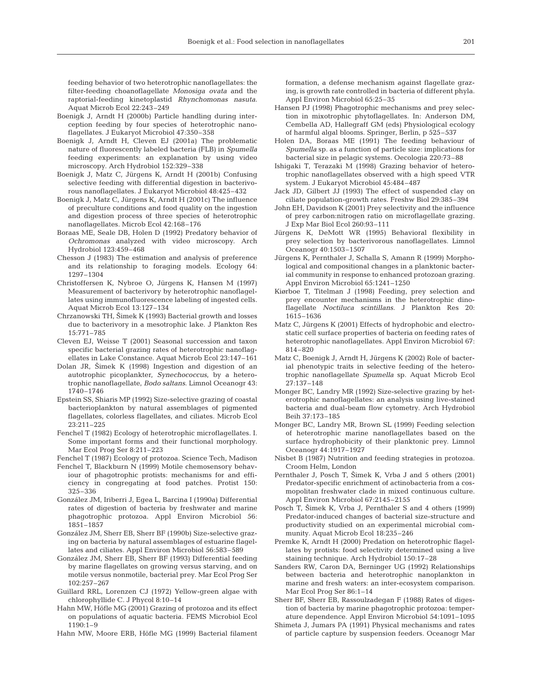feeding behavior of two heterotrophic nanoflagellates: the filter-feeding choanoflagellate *Monosiga ovata* and the raptorial-feeding kinetoplastid *Rhynchomonas nasuta*. Aquat Microb Ecol 22:243–249

- Boenigk J, Arndt H (2000b) Particle handling during interception feeding by four species of heterotrophic nanoflagellates. J Eukaryot Microbiol 47:350–358
- Boenigk J, Arndt H, Cleven EJ (2001a) The problematic nature of fluorescently labeled bacteria (FLB) in *Spumella* feeding experiments: an explanation by using video microscopy. Arch Hydrobiol 152:329–338
- Boenigk J, Matz C, Jürgens K, Arndt H (2001b) Confusing selective feeding with differential digestion in bacterivorous nanoflagellates. J Eukaryot Microbiol 48:425–432
- Boenigk J, Matz C, Jürgens K, Arndt H (2001c) The influence of preculture conditions and food quality on the ingestion and digestion process of three species of heterotrophic nanoflagellates. Microb Ecol 42:168–176
- Boraas ME, Seale DB, Holen D (1992) Predatory behavior of *Ochromonas* analyzed with video microscopy. Arch Hydrobiol 123:459–468
- Chesson J (1983) The estimation and analysis of preference and its relationship to foraging models. Ecology 64: 1297–1304
- Christoffersen K, Nybroe O, Jürgens K, Hansen M (1997) Measurement of bacterivory by heterotrophic nanoflagellates using immunofluorescence labeling of ingested cells. Aquat Microb Ecol 13:127–134
- Chrzanowski TH, Šimek K (1993) Bacterial growth and losses due to bacterivory in a mesotrophic lake. J Plankton Res 15:771–785
- Cleven EJ, Weisse T (2001) Seasonal succession and taxon specific bacterial grazing rates of heterotrophic nanoflagellates in Lake Constance. Aquat Microb Ecol 23:147–161
- Dolan JR, 2imek K (1998) Ingestion and digestion of an autotrophic picoplankter, *Synechococcus*, by a heterotrophic nanoflagellate, *Bodo saltans*. Limnol Oceanogr 43: 1740–1746
- Epstein SS, Shiaris MP (1992) Size-selective grazing of coastal bacterioplankton by natural assemblages of pigmented flagellates, colorless flagellates, and ciliates. Microb Ecol 23:211–225
- Fenchel T (1982) Ecology of heterotrophic microflagellates. I. Some important forms and their functional morphology. Mar Ecol Prog Ser 8:211–223
- Fenchel T (1987) Ecology of protozoa. Science Tech, Madison
- Fenchel T, Blackburn N (1999) Motile chemosensory behaviour of phagotrophic protists: mechanisms for and efficiency in congregating at food patches. Protist 150: 325–336
- González JM, Iriberri J, Egea L, Barcina I (1990a) Differential rates of digestion of bacteria by freshwater and marine phagotrophic protozoa. Appl Environ Microbiol 56: 1851–1857
- González JM, Sherr EB, Sherr BF (1990b) Size-selective grazing on bacteria by natural assemblages of estuarine flagellates and ciliates. Appl Environ Microbiol 56:583–589
- González JM, Sherr EB, Sherr BF (1993) Differential feeding by marine flagellates on growing versus starving, and on motile versus nonmotile, bacterial prey. Mar Ecol Prog Ser 102:257–267
- Guillard RRL, Lorenzen CJ (1972) Yellow-green algae with chlorophyllide C. J Phycol 8:10–14
- Hahn MW, Höfle MG (2001) Grazing of protozoa and its effect on populations of aquatic bacteria. FEMS Microbiol Ecol 1190:1–9
- Hahn MW, Moore ERB, Höfle MG (1999) Bacterial filament

formation, a defense mechanism against flagellate grazing, is growth rate controlled in bacteria of different phyla. Appl Environ Microbiol 65:25–35

- Hansen PJ (1998) Phagotrophic mechanisms and prey selection in mixotrophic phytoflagellates. In: Anderson DM, Cembella AD, Hallegraff GM (eds) Physiological ecology of harmful algal blooms. Springer, Berlin, p 525–537
- Holen DA, Boraas ME (1991) The feeding behaviour of *Spumella* sp. as a function of particle size: implications for bacterial size in pelagic systems. Oecologia 220:73–88
- Ishigaki T, Terazaki M (1998) Grazing behavior of heterotrophic nanoflagellates observed with a high speed VTR system. J Eukaryot Microbiol 45:484–487
- Jack JD, Gilbert JJ (1993) The effect of suspended clay on ciliate population-growth rates. Freshw Biol 29:385–394
- John EH, Davidson K (2001) Prey selectivity and the influence of prey carbon:nitrogen ratio on microflagellate grazing. J Exp Mar Biol Ecol 260:93–111
- Jürgens K, DeMott WR (1995) Behavioral flexibility in prey selection by bacterivorous nanoflagellates. Limnol Oceanogr 40:1503–1507
- Jürgens K, Pernthaler J, Schalla S, Amann R (1999) Morphological and compositional changes in a planktonic bacterial community in response to enhanced protozoan grazing. Appl Environ Microbiol 65:1241–1250
- Kiørboe T, Titelman J (1998) Feeding, prey selection and prey encounter mechanisms in the heterotrophic dinoflagellate *Noctiluca scintillans*. J Plankton Res 20: 1615–1636
- Matz C, Jürgens K (2001) Effects of hydrophobic and electrostatic cell surface properties of bacteria on feeding rates of heterotrophic nanoflagellates. Appl Environ Microbiol 67: 814–820
- Matz C, Boenigk J, Arndt H, Jürgens K (2002) Role of bacterial phenotypic traits in selective feeding of the heterotrophic nanoflagellate *Spumella* sp. Aquat Microb Ecol 27:137–148
- Monger BC, Landry MR (1992) Size-selective grazing by heterotrophic nanoflagellates: an analysis using live-stained bacteria and dual-beam flow cytometry. Arch Hydrobiol Beih 37:173–185
- Monger BC, Landry MR, Brown SL (1999) Feeding selection of heterotrophic marine nanoflagellates based on the surface hydrophobicity of their planktonic prey. Limnol Oceanogr 44:1917–1927
- Nisbet B (1987) Nutrition and feeding strategies in protozoa. Croom Helm, London
- Pernthaler J, Posch T, Šimek K, Vrba J and 5 others (2001) Predator-specific enrichment of actinobacteria from a cosmopolitan freshwater clade in mixed continuous culture. Appl Environ Microbiol 67:2145–2155
- Posch T, Šimek K, Vrba J, Pernthaler S and 4 others (1999) Predator-induced changes of bacterial size-structure and productivity studied on an experimental microbial community. Aquat Microb Ecol 18:235–246
- Premke K, Arndt H (2000) Predation on heterotrophic flagellates by protists: food selectivity determined using a live staining technique. Arch Hydrobiol 150:17–28
- Sanders RW, Caron DA, Berninger UG (1992) Relationships between bacteria and heterotrophic nanoplankton in marine and fresh waters: an inter-ecosystem comparison. Mar Ecol Prog Ser 86:1–14
- Sherr BF, Sherr EB, Rassoulzadegan F (1988) Rates of digestion of bacteria by marine phagotrophic protozoa: temperature dependence. Appl Environ Microbiol 54:1091–1095
- Shimeta J, Jumars PA (1991) Physical mechanisms and rates of particle capture by suspension feeders. Oceanogr Mar